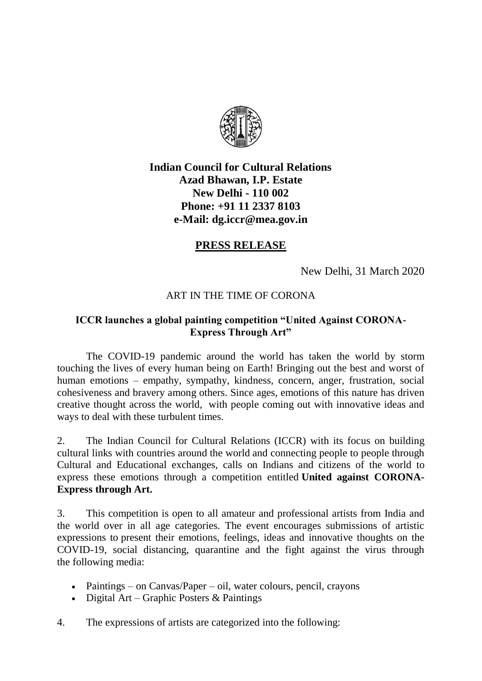

## **Indian Council for Cultural Relations Azad Bhawan, I.P. Estate New Delhi - 110 002 Phone: [+91 11 2337 8103](callto:+91%2011%202337%208103) e-Mail: [dg.iccr@mea.gov.in](mailto:dg.iccr@mea.gov.in)**

## **PRESS RELEASE**

New Delhi, 31 March 2020

## ART IN THE TIME OF CORONA

## **ICCR launches a global painting competition "United Against CORONA-Express Through Art"**

The COVID-19 pandemic around the world has taken the world by storm touching the lives of every human being on Earth! Bringing out the best and worst of human emotions – empathy, sympathy, kindness, concern, anger, frustration, social cohesiveness and bravery among others. Since ages, emotions of this nature has driven creative thought across the world, with people coming out with innovative ideas and ways to deal with these turbulent times.

2. The Indian Council for Cultural Relations (ICCR) with its focus on building cultural links with countries around the world and connecting people to people through Cultural and Educational exchanges, calls on Indians and citizens of the world to express these emotions through a competition entitled **United against CORONA-Express through Art.**

3. This competition is open to all amateur and professional artists from India and the world over in all age categories. The event encourages submissions of artistic expressions to present their emotions, feelings, ideas and innovative thoughts on the COVID-19, social distancing, quarantine and the fight against the virus through the following media:

- Paintings on Canvas/Paper oil, water colours, pencil, crayons
- Digital Art Graphic Posters  $&$  Paintings
- 4. The expressions of artists are categorized into the following: